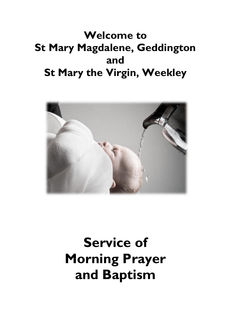## **Welcome to St Mary Magdalene, Geddington and St Mary the Virgin, Weekley**



# **Service of Morning Prayer and Baptism**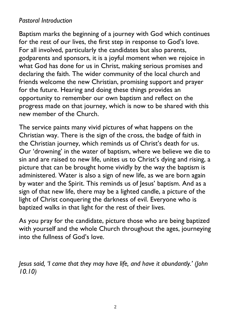### *Pastoral Introduction*

Baptism marks the beginning of a journey with God which continues for the rest of our lives, the first step in response to God's love. For all involved, particularly the candidates but also parents, godparents and sponsors, it is a joyful moment when we rejoice in what God has done for us in Christ, making serious promises and declaring the faith. The wider community of the local church and friends welcome the new Christian, promising support and prayer for the future. Hearing and doing these things provides an opportunity to remember our own baptism and reflect on the progress made on that journey, which is now to be shared with this new member of the Church.

The service paints many vivid pictures of what happens on the Christian way. There is the sign of the cross, the badge of faith in the Christian journey, which reminds us of Christ's death for us. Our 'drowning' in the water of baptism, where we believe we die to sin and are raised to new life, unites us to Christ's dying and rising, a picture that can be brought home vividly by the way the baptism is administered. Water is also a sign of new life, as we are born again by water and the Spirit. This reminds us of Jesus' baptism. And as a sign of that new life, there may be a lighted candle, a picture of the light of Christ conquering the darkness of evil. Everyone who is baptized walks in that light for the rest of their lives.

As you pray for the candidate, picture those who are being baptized with yourself and the whole Church throughout the ages, journeying into the fullness of God's love.

*Jesus said, 'I came that they may have life, and have it abundantly.' (John 10.10)*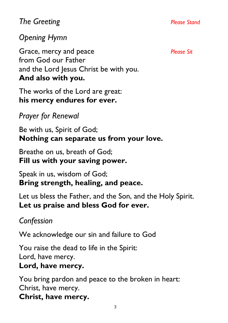### *The Greeting Please Stand*

### *Opening Hymn*

Grace, mercy and peace *Please Sit* from God our Father and the Lord Jesus Christ be with you. **And also with you.**

The works of the Lord are great: **his mercy endures for ever.**

*Prayer for Renewal* 

Be with us, Spirit of God; **Nothing can separate us from your love.** 

Breathe on us, breath of God; **Fill us with your saving power.** 

Speak in us, wisdom of God; **Bring strength, healing, and peace.** 

Let us bless the Father, and the Son, and the Holy Spirit. **Let us praise and bless God for ever.** 

### *Confession*

We acknowledge our sin and failure to God

You raise the dead to life in the Spirit: Lord, have mercy.

### **Lord, have mercy.**

You bring pardon and peace to the broken in heart: Christ, have mercy. **Christ, have mercy.**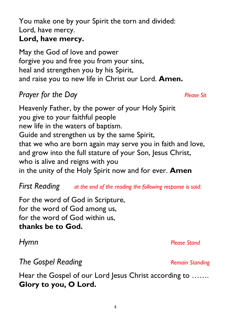You make one by your Spirit the torn and divided: Lord, have mercy.

### **Lord, have mercy.**

May the God of love and power forgive you and free you from your sins, heal and strengthen you by his Spirit, and raise you to new life in Christ our Lord. **Amen.** 

### *Prayer for the Day Please Sit*

Heavenly Father, by the power of your Holy Spirit you give to your faithful people new life in the waters of baptism. Guide and strengthen us by the same Spirit, that we who are born again may serve you in faith and love, and grow into the full stature of your Son, Jesus Christ, who is alive and reigns with you in the unity of the Holy Spirit now and for ever. **Amen**

*First Reading at the end of the reading the following response is said:*

For the word of God in Scripture, for the word of God among us, for the word of God within us, **thanks be to God.**

**The Gospel Reading** *Remain Standing Remain Standing* 

Hear the Gospel of our Lord Jesus Christ according to ....... **Glory to you, O Lord.**

*Hymn Please Stand*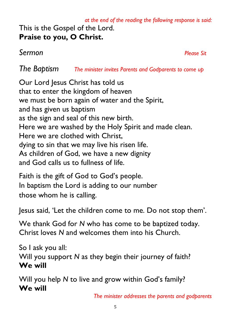### *at the end of the reading the following response is said:* This is the Gospel of the Lord. **Praise to you, O Christ.**

*Sermon Please Sit*

*The Baptism The minister invites Parents and Godparents to come up*

Our Lord Jesus Christ has told us that to enter the kingdom of heaven we must be born again of water and the Spirit, and has given us baptism as the sign and seal of this new birth. Here we are washed by the Holy Spirit and made clean. Here we are clothed with Christ, dying to sin that we may live his risen life. As children of God, we have a new dignity and God calls us to fullness of life.

Faith is the gift of God to God's people. In baptism the Lord is adding to our number those whom he is calling.

Jesus said, 'Let the children come to me. Do not stop them'.

We thank God for *N* who has come to be baptized today. Christ loves *N* and welcomes them into his Church.

So I ask you all: Will you support *N* as they begin their journey of faith? **We will**

Will you help *N* to live and grow within God's family? **We will**

*The minister addresses the parents and godparents*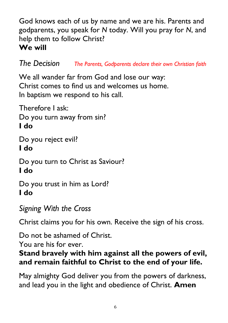God knows each of us by name and we are his. Parents and godparents, you speak for *N* today. Will you pray for *N*, and help them to follow Christ? **We will**

*The Decision The Parents, Godparents declare their own Christian faith*

We all wander far from God and lose our way: Christ comes to find us and welcomes us home. In baptism we respond to his call.

Therefore I ask: Do you turn away from sin? **I do**

Do you reject evil? **I do**

Do you turn to Christ as Saviour? **I do**

Do you trust in him as Lord? **I do**

*Signing With the Cross*

Christ claims you for his own. Receive the sign of his cross.

Do not be ashamed of Christ.

You are his for ever.

### **Stand bravely with him against all the powers of evil, and remain faithful to Christ to the end of your life.**

May almighty God deliver you from the powers of darkness, and lead you in the light and obedience of Christ. **Amen**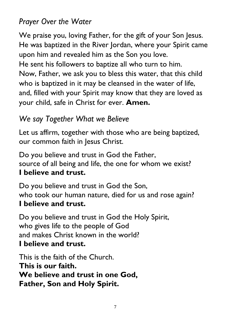### *Prayer Over the Water*

We praise you, loving Father, for the gift of your Son Jesus. He was baptized in the River Jordan, where your Spirit came upon him and revealed him as the Son you love.

He sent his followers to baptize all who turn to him. Now, Father, we ask you to bless this water, that this child who is baptized in it may be cleansed in the water of life, and, filled with your Spirit may know that they are loved as your child, safe in Christ for ever. **Amen.**

### *We say Together What we Believe*

Let us affirm, together with those who are being baptized, our common faith in Jesus Christ.

Do you believe and trust in God the Father, source of all being and life, the one for whom we exist? **I believe and trust.**

Do you believe and trust in God the Son, who took our human nature, died for us and rose again? **I believe and trust.**

Do you believe and trust in God the Holy Spirit, who gives life to the people of God and makes Christ known in the world? **I believe and trust.**

This is the faith of the Church. **This is our faith. We believe and trust in one God, Father, Son and Holy Spirit.**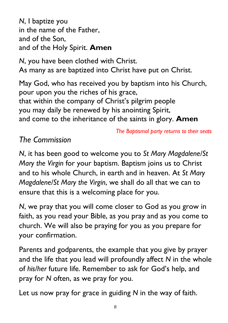*N*, I baptize you in the name of the Father, and of the Son, and of the Holy Spirit. **Amen**

*N*, you have been clothed with Christ. As many as are baptized into Christ have put on Christ.

May God, who has received you by baptism into his Church, pour upon you the riches of his grace, that within the company of Christ's pilgrim people you may daily be renewed by his anointing Spirit, and come to the inheritance of the saints in glory. **Amen**

*The Baptismal party returns to their seats*

### *The Commission*

*N*, it has been good to welcome you to *St Mary Magdalene/St Mary the Virgin* for your baptism. Baptism joins us to Christ and to his whole Church, in earth and in heaven. At *St Mary Magdalene/St Mary the Virgin*, we shall do all that we can to ensure that this is a welcoming place for you.

*N*, we pray that you will come closer to God as you grow in faith, as you read your Bible, as you pray and as you come to church. We will also be praying for you as you prepare for your confirmation.

Parents and godparents, the example that you give by prayer and the life that you lead will profoundly affect *N* in the whole of *his/her* future life. Remember to ask for God's help, and pray for *N* often, as we pray for you.

Let us now pray for grace in guiding *N* in the way of faith.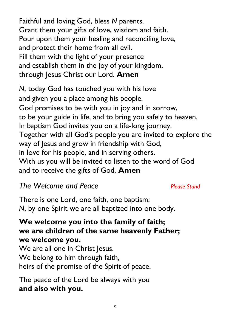Faithful and loving God, bless *N* parents. Grant them your gifts of love, wisdom and faith. Pour upon them your healing and reconciling love, and protect their home from all evil. Fill them with the light of your presence and establish them in the joy of your kingdom, through Jesus Christ our Lord. **Amen**

*N*, today God has touched you with his love and given you a place among his people. God promises to be with you in joy and in sorrow, to be your guide in life, and to bring you safely to heaven. In baptism God invites you on a life-long journey. Together with all God's people you are invited to explore the way of Jesus and grow in friendship with God, in love for his people, and in serving others. With us you will be invited to listen to the word of God and to receive the gifts of God. **Amen**

### *The Welcome and Peace Please Stand*

There is one Lord, one faith, one baptism: *N*, by one Spirit we are all baptized into one body.

### **We welcome you into the family of faith; we are children of the same heavenly Father; we welcome you.**

We are all one in Christ Jesus. We belong to him through faith, heirs of the promise of the Spirit of peace.

The peace of the Lord be always with you **and also with you.**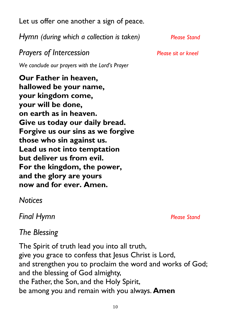10 *Final Hymn Please Stand*

Let us offer one another a sign of peace.

*Hymn (during which a collection is taken) Please Stand*

*Prayers of Intercession Please sit or kneel*

*We conclude our prayers with the Lord's Prayer*

**Our Father in heaven, hallowed be your name, your kingdom come, your will be done, on earth as in heaven. Give us today our daily bread. Forgive us our sins as we forgive those who sin against us. Lead us not into temptation but deliver us from evil. For the kingdom, the power, and the glory are yours now and for ever. Amen.**

*Notices*

*The Blessing*

The Spirit of truth lead you into all truth, give you grace to confess that Jesus Christ is Lord, and strengthen you to proclaim the word and works of God; and the blessing of God almighty, the Father, the Son, and the Holy Spirit, be among you and remain with you always. **Amen**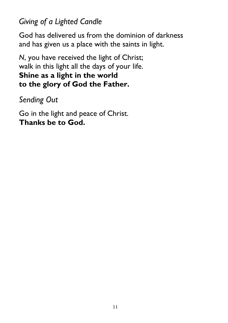*Giving of a Lighted Candle*

God has delivered us from the dominion of darkness and has given us a place with the saints in light.

*N*, you have received the light of Christ; walk in this light all the days of your life. **Shine as a light in the world to the glory of God the Father.**

*Sending Out*

Go in the light and peace of Christ. **Thanks be to God.**